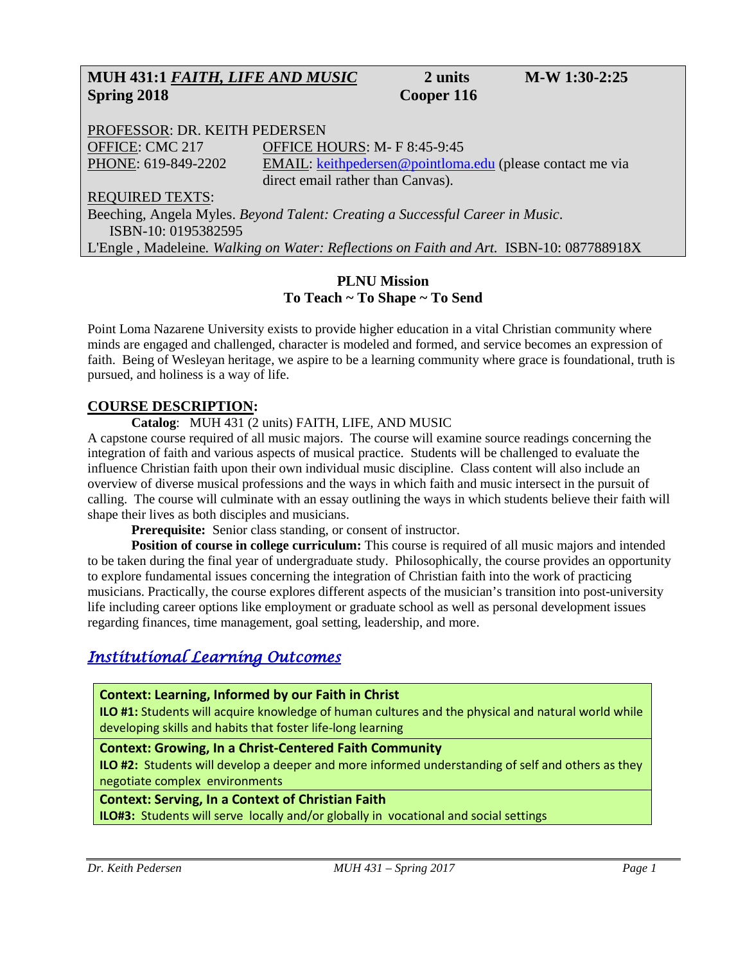# **MUH 431:1** *FAITH, LIFE AND MUSIC* **2 units M-W 1:30-2:25 Spring 2018 Cooper 116**

PROFESSOR: DR. KEITH PEDERSEN OFFICE: CMC 217 OFFICE HOURS: M- F 8:45-9:45 PHONE: 619-849-2202 EMAIL: [keithpedersen@pointloma.edu](mailto:keithpedersen@pointloma.edu) (please contact me via direct email rather than Canvas). REQUIRED TEXTS:

Beeching, Angela Myles. *Beyond Talent: Creating a Successful Career in Music*. ISBN-10: 0195382595

L'Engle , Madeleine*. Walking on Water: Reflections on Faith and Art.* ISBN-10: 087788918X

## **PLNU Mission To Teach ~ To Shape ~ To Send**

Point Loma Nazarene University exists to provide higher education in a vital Christian community where minds are engaged and challenged, character is modeled and formed, and service becomes an expression of faith. Being of Wesleyan heritage, we aspire to be a learning community where grace is foundational, truth is pursued, and holiness is a way of life.

# **COURSE DESCRIPTION:**

**Catalog**: MUH 431 (2 units) FAITH, LIFE, AND MUSIC

A capstone course required of all music majors. The course will examine source readings concerning the integration of faith and various aspects of musical practice. Students will be challenged to evaluate the influence Christian faith upon their own individual music discipline. Class content will also include an overview of diverse musical professions and the ways in which faith and music intersect in the pursuit of calling. The course will culminate with an essay outlining the ways in which students believe their faith will shape their lives as both disciples and musicians.

**Prerequisite:** Senior class standing, or consent of instructor.

**Position of course in college curriculum:** This course is required of all music majors and intended to be taken during the final year of undergraduate study. Philosophically, the course provides an opportunity to explore fundamental issues concerning the integration of Christian faith into the work of practicing musicians. Practically, the course explores different aspects of the musician's transition into post-university life including career options like employment or graduate school as well as personal development issues regarding finances, time management, goal setting, leadership, and more.

# *Institutional Learning Outcomes*

**Context: Learning, Informed by our Faith in Christ**

**ILO #1:** Students will acquire knowledge of human cultures and the physical and natural world while developing skills and habits that foster life-long learning

#### **Context: Growing, In a Christ-Centered Faith Community**

**ILO #2:** Students will develop a deeper and more informed understanding of self and others as they negotiate complex environments

# **Context: Serving, In a Context of Christian Faith**

**ILO#3:** Students will serve locally and/or globally in vocational and social settings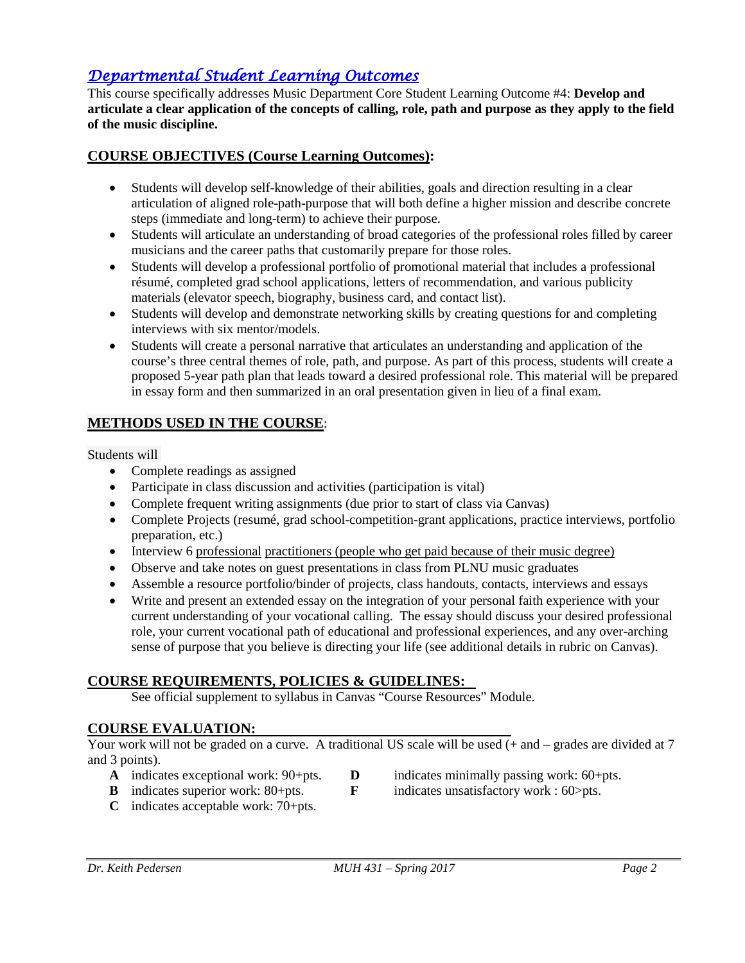# *Departmental Student Learning Outcomes*

This course specifically addresses Music Department Core Student Learning Outcome #4: **Develop and articulate a clear application of the concepts of calling, role, path and purpose as they apply to the field of the music discipline.**

### **COURSE OBJECTIVES (Course Learning Outcomes):**

- Students will develop self-knowledge of their abilities, goals and direction resulting in a clear articulation of aligned role-path-purpose that will both define a higher mission and describe concrete steps (immediate and long-term) to achieve their purpose.
- Students will articulate an understanding of broad categories of the professional roles filled by career musicians and the career paths that customarily prepare for those roles.
- Students will develop a professional portfolio of promotional material that includes a professional résumé, completed grad school applications, letters of recommendation, and various publicity materials (elevator speech, biography, business card, and contact list).
- Students will develop and demonstrate networking skills by creating questions for and completing interviews with six mentor/models.
- Students will create a personal narrative that articulates an understanding and application of the course's three central themes of role, path, and purpose. As part of this process, students will create a proposed 5-year path plan that leads toward a desired professional role. This material will be prepared in essay form and then summarized in an oral presentation given in lieu of a final exam.

## **METHODS USED IN THE COURSE**:

Students will

- Complete readings as assigned
- Participate in class discussion and activities (participation is vital)
- Complete frequent writing assignments (due prior to start of class via Canvas)
- Complete Projects (resumé, grad school-competition-grant applications, practice interviews, portfolio preparation, etc.)
- Interview 6 professional practitioners (people who get paid because of their music degree)
- Observe and take notes on guest presentations in class from PLNU music graduates
- Assemble a resource portfolio/binder of projects, class handouts, contacts, interviews and essays
- Write and present an extended essay on the integration of your personal faith experience with your current understanding of your vocational calling. The essay should discuss your desired professional role, your current vocational path of educational and professional experiences, and any over-arching sense of purpose that you believe is directing your life (see additional details in rubric on Canvas).

#### **COURSE REQUIREMENTS, POLICIES & GUIDELINES:**

See official supplement to syllabus in Canvas "Course Resources" Module.

# **COURSE EVALUATION:**

Your work will not be graded on a curve. A traditional US scale will be used  $(+)$  and  $-$  grades are divided at 7 and 3 points).

- 
- **A** indicates exceptional work: 90+pts. **D** indicates minimally passing work: 60+pts.
- **B** indicates superior work: 80+pts. **F** indicates unsatisfactory work : 60>pts.
- 
- **C** indicates acceptable work: 70+pts.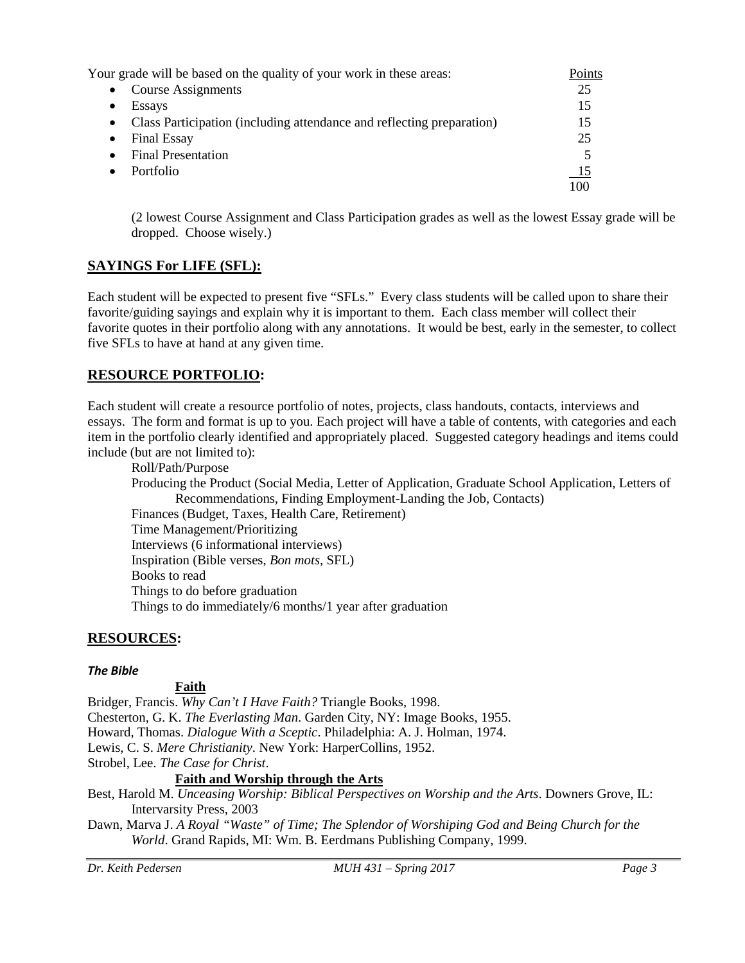| Your grade will be based on the quality of your work in these areas:               | Points    |
|------------------------------------------------------------------------------------|-----------|
| <b>Course Assignments</b><br>$\bullet$                                             | 25        |
| <b>Essays</b><br>$\bullet$                                                         | 15        |
| Class Participation (including attendance and reflecting preparation)<br>$\bullet$ | 15        |
| <b>Final Essay</b>                                                                 | 25        |
| <b>Final Presentation</b>                                                          |           |
| Portfolio                                                                          | <u>15</u> |
|                                                                                    |           |

(2 lowest Course Assignment and Class Participation grades as well as the lowest Essay grade will be dropped. Choose wisely.)

#### **SAYINGS For LIFE (SFL):**

Each student will be expected to present five "SFLs." Every class students will be called upon to share their favorite/guiding sayings and explain why it is important to them. Each class member will collect their favorite quotes in their portfolio along with any annotations. It would be best, early in the semester, to collect five SFLs to have at hand at any given time.

#### **RESOURCE PORTFOLIO:**

Each student will create a resource portfolio of notes, projects, class handouts, contacts, interviews and essays. The form and format is up to you. Each project will have a table of contents, with categories and each item in the portfolio clearly identified and appropriately placed. Suggested category headings and items could include (but are not limited to):

Roll/Path/Purpose

Producing the Product (Social Media, Letter of Application, Graduate School Application, Letters of Recommendations, Finding Employment-Landing the Job, Contacts)

Finances (Budget, Taxes, Health Care, Retirement)

Time Management/Prioritizing

Interviews (6 informational interviews)

Inspiration (Bible verses, *Bon mots*, SFL)

Books to read

Things to do before graduation

Things to do immediately/6 months/1 year after graduation

#### **RESOURCES:**

#### *The Bible*

#### **Faith**

Bridger, Francis. *Why Can't I Have Faith?* Triangle Books, 1998. Chesterton, G. K. *The Everlasting Man*. Garden City, NY: Image Books, 1955. Howard, Thomas. *Dialogue With a Sceptic*. Philadelphia: A. J. Holman, 1974. Lewis, C. S. *Mere Christianity*. New York: HarperCollins, 1952. Strobel, Lee. *The Case for Christ*.

#### **Faith and Worship through the Arts**

Best, Harold M. *Unceasing Worship: Biblical Perspectives on Worship and the Arts*. Downers Grove, IL: Intervarsity Press, 2003

Dawn, Marva J. *A Royal "Waste" of Time; The Splendor of Worshiping God and Being Church for the World*. Grand Rapids, MI: Wm. B. Eerdmans Publishing Company, 1999.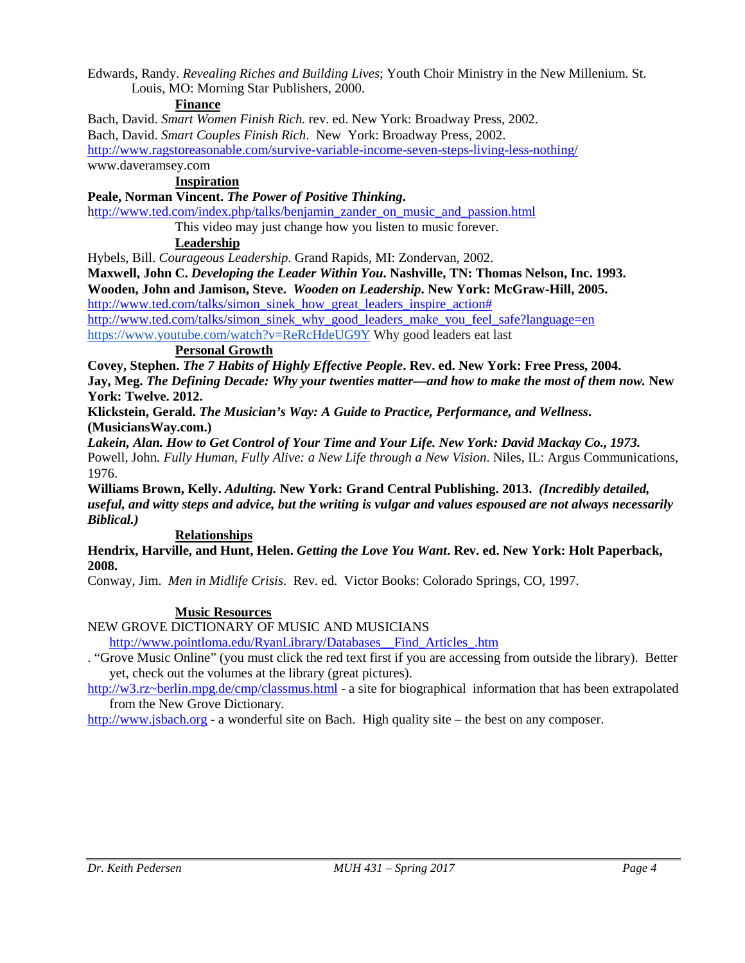Edwards, Randy. *Revealing Riches and Building Lives*; Youth Choir Ministry in the New Millenium. St. Louis, MO: Morning Star Publishers, 2000.

#### **Finance**

Bach, David. *Smart Women Finish Rich.* rev. ed. New York: Broadway Press, 2002. Bach, David. *Smart Couples Finish Rich*. New York: Broadway Press, 2002. <http://www.ragstoreasonable.com/survive-variable-income-seven-steps-living-less-nothing/> www.daveramsey.com

#### **Inspiration**

#### **Peale, Norman Vincent.** *The Power of Positive Thinking***.**

[http://www.ted.com/index.php/talks/benjamin\\_zander\\_on\\_music\\_and\\_passion.html](http://www.ted.com/index.php/talks/benjamin_zander_on_music_and_passion.html)

This video may just change how you listen to music forever.

### **Leadership**

Hybels, Bill. *Courageous Leadership*. Grand Rapids, MI: Zondervan, 2002.

**Maxwell, John C.** *Developing the Leader Within You***. Nashville, TN: Thomas Nelson, Inc. 1993.**

**Wooden, John and Jamison, Steve.** *Wooden on Leadership***. New York: McGraw-Hill, 2005.** [http://www.ted.com/talks/simon\\_sinek\\_how\\_great\\_leaders\\_inspire\\_action#](http://www.ted.com/talks/simon_sinek_how_great_leaders_inspire_action)

[http://www.ted.com/talks/simon\\_sinek\\_why\\_good\\_leaders\\_make\\_you\\_feel\\_safe?language=en](http://www.ted.com/talks/simon_sinek_why_good_leaders_make_you_feel_safe?language=en)

<https://www.youtube.com/watch?v=ReRcHdeUG9Y> Why good leaders eat last

#### **Personal Growth**

**Covey, Stephen.** *The 7 Habits of Highly Effective People***. Rev. ed. New York: Free Press, 2004. Jay, Meg.** *The Defining Decade: Why your twenties matter—and how to make the most of them now.* **New York: Twelve. 2012.**

**Klickstein, Gerald.** *The Musician's Way: A Guide to Practice, Performance, and Wellness***. (MusiciansWay.com.)**

*Lakein, Alan. How to Get Control of Your Time and Your Life. New York: David Mackay Co., 1973.* Powell, John*. Fully Human, Fully Alive: a New Life through a New Vision*. Niles, IL: Argus Communications, 1976.

**Williams Brown, Kelly.** *Adulting.* **New York: Grand Central Publishing. 2013.** *(Incredibly detailed, useful, and witty steps and advice, but the writing is vulgar and values espoused are not always necessarily Biblical.)*

#### **Relationships**

**Hendrix, Harville, and Hunt, Helen.** *Getting the Love You Want***. Rev. ed. New York: Holt Paperback, 2008.**

Conway, Jim. *Men in Midlife Crisis*. Rev. ed. Victor Books: Colorado Springs, CO, 1997.

#### **Music Resources**

NEW GROVE DICTIONARY OF MUSIC AND MUSICIANS

http://www.pointloma.edu/RyanLibrary/Databases Find Articles .htm

. "Grove Music Online" (you must click the red text first if you are accessing from outside the library). Better yet, check out the volumes at the library (great pictures).

[http://w3.rz~berlin.mpg.de/cmp/classmus.html](http://w3.rz%7Eberlin.mpg.de/cmp/classmus.html) - a site for biographical information that has been extrapolated from the New Grove Dictionary*.*

[http://www.jsbach.org](http://www.jsbach.org/) - a wonderful site on Bach. High quality site – the best on any composer.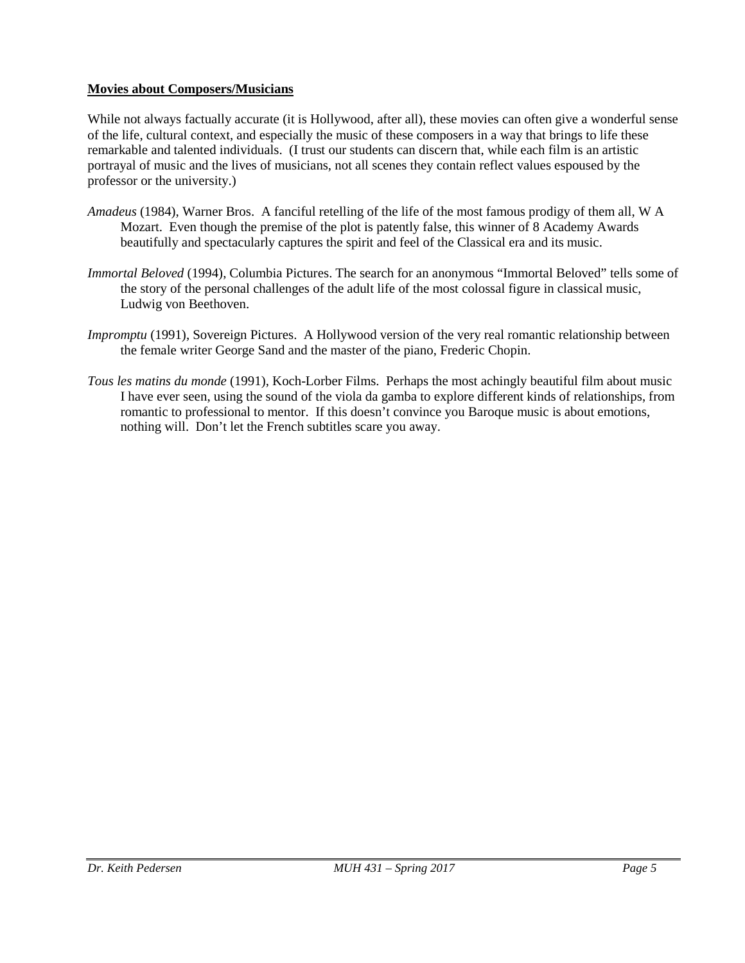#### **Movies about Composers/Musicians**

While not always factually accurate (it is Hollywood, after all), these movies can often give a wonderful sense of the life, cultural context, and especially the music of these composers in a way that brings to life these remarkable and talented individuals. (I trust our students can discern that, while each film is an artistic portrayal of music and the lives of musicians, not all scenes they contain reflect values espoused by the professor or the university.)

- *Amadeus* (1984), Warner Bros. A fanciful retelling of the life of the most famous prodigy of them all, W A Mozart. Even though the premise of the plot is patently false, this winner of 8 Academy Awards beautifully and spectacularly captures the spirit and feel of the Classical era and its music.
- *Immortal Beloved* (1994), Columbia Pictures. The search for an anonymous "Immortal Beloved" tells some of the story of the personal challenges of the adult life of the most colossal figure in classical music, Ludwig von Beethoven.
- *Impromptu* (1991), Sovereign Pictures. A Hollywood version of the very real romantic relationship between the female writer George Sand and the master of the piano, Frederic Chopin.
- *Tous les matins du monde* (1991), Koch-Lorber Films. Perhaps the most achingly beautiful film about music I have ever seen, using the sound of the viola da gamba to explore different kinds of relationships, from romantic to professional to mentor. If this doesn't convince you Baroque music is about emotions, nothing will. Don't let the French subtitles scare you away.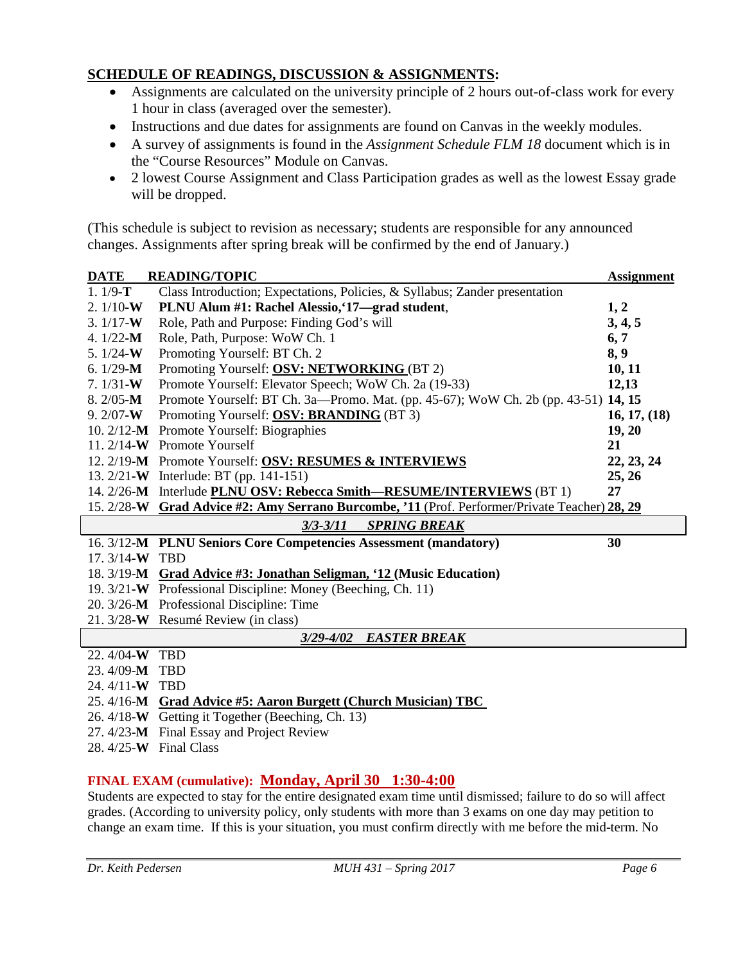# **SCHEDULE OF READINGS, DISCUSSION & ASSIGNMENTS:**

- Assignments are calculated on the university principle of 2 hours out-of-class work for every 1 hour in class (averaged over the semester).
- Instructions and due dates for assignments are found on Canvas in the weekly modules.
- A survey of assignments is found in the *Assignment Schedule FLM 18* document which is in the "Course Resources" Module on Canvas.
- 2 lowest Course Assignment and Class Participation grades as well as the lowest Essay grade will be dropped.

(This schedule is subject to revision as necessary; students are responsible for any announced changes. Assignments after spring break will be confirmed by the end of January.)

| <b>DATE</b>                         | <b>READING/TOPIC</b>                                                                          | <b>Assignment</b> |
|-------------------------------------|-----------------------------------------------------------------------------------------------|-------------------|
| $1.1/9$ -T                          | Class Introduction; Expectations, Policies, & Syllabus; Zander presentation                   |                   |
| 2. $1/10-W$                         | PLNU Alum #1: Rachel Alessio, '17-grad student,                                               | 1, 2              |
| $3.1/17-W$                          | Role, Path and Purpose: Finding God's will                                                    | 3, 4, 5           |
| 4. $1/22-M$                         | Role, Path, Purpose: WoW Ch. 1                                                                | 6, 7              |
| 5. $1/24-W$                         | Promoting Yourself: BT Ch. 2                                                                  | 8, 9              |
| 6. $1/29-M$                         | Promoting Yourself: OSV: NETWORKING (BT 2)                                                    | 10, 11            |
| 7. $1/31-W$                         | Promote Yourself: Elevator Speech; WoW Ch. 2a (19-33)                                         | 12,13             |
| $8.2/05-M$                          | Promote Yourself: BT Ch. 3a-Promo. Mat. (pp. 45-67); WoW Ch. 2b (pp. 43-51) 14, 15            |                   |
| $9.2/07-W$                          | Promoting Yourself: OSV: BRANDING (BT 3)                                                      | 16, 17, (18)      |
|                                     | 10. 2/12-M Promote Yourself: Biographies                                                      | 19, 20            |
|                                     | 11. 2/14-W Promote Yourself                                                                   | 21                |
|                                     | 12. 2/19-M Promote Yourself: OSV: RESUMES & INTERVIEWS                                        | 22, 23, 24        |
|                                     | 13. 2/21-W Interlude: BT (pp. 141-151)                                                        | 25, 26            |
|                                     | 14. 2/26-M Interlude PLNU OSV: Rebecca Smith—RESUME/INTERVIEWS (BT 1)                         | 27                |
|                                     | 15. 2/28-W Grad Advice #2: Amy Serrano Burcombe, '11 (Prof. Performer/Private Teacher) 28, 29 |                   |
| <b>SPRING BREAK</b><br>$3/3 - 3/11$ |                                                                                               |                   |
|                                     | 16. 3/12-M PLNU Seniors Core Competencies Assessment (mandatory)                              | 30                |
| 17.3/14-W TBD                       |                                                                                               |                   |
|                                     | 18. 3/19-M Grad Advice #3: Jonathan Seligman, '12 (Music Education)                           |                   |
|                                     | 19. 3/21-W Professional Discipline: Money (Beeching, Ch. 11)                                  |                   |
|                                     | 20. 3/26-M Professional Discipline: Time                                                      |                   |
|                                     | 21. 3/28-W Resumé Review (in class)                                                           |                   |
|                                     | <b>EASTER BREAK</b><br>$3/29 - 4/02$                                                          |                   |
| 22.4/04-W TBD                       |                                                                                               |                   |
| 23.4/09-M TBD                       |                                                                                               |                   |
| 24.4/11-W TBD                       |                                                                                               |                   |
|                                     | 25. 4/16-M Grad Advice #5: Aaron Burgett (Church Musician) TBC                                |                   |

- 26. 4/18-**W** Getting it Together (Beeching, Ch. 13)
- 27. 4/23-**M** Final Essay and Project Review
- 28. 4/25-**W** Final Class

# **FINAL EXAM (cumulative): Monday, April 30 1:30-4:00**

Students are expected to stay for the entire designated exam time until dismissed; failure to do so will affect grades. (According to university policy, only students with more than 3 exams on one day may petition to change an exam time. If this is your situation, you must confirm directly with me before the mid-term. No